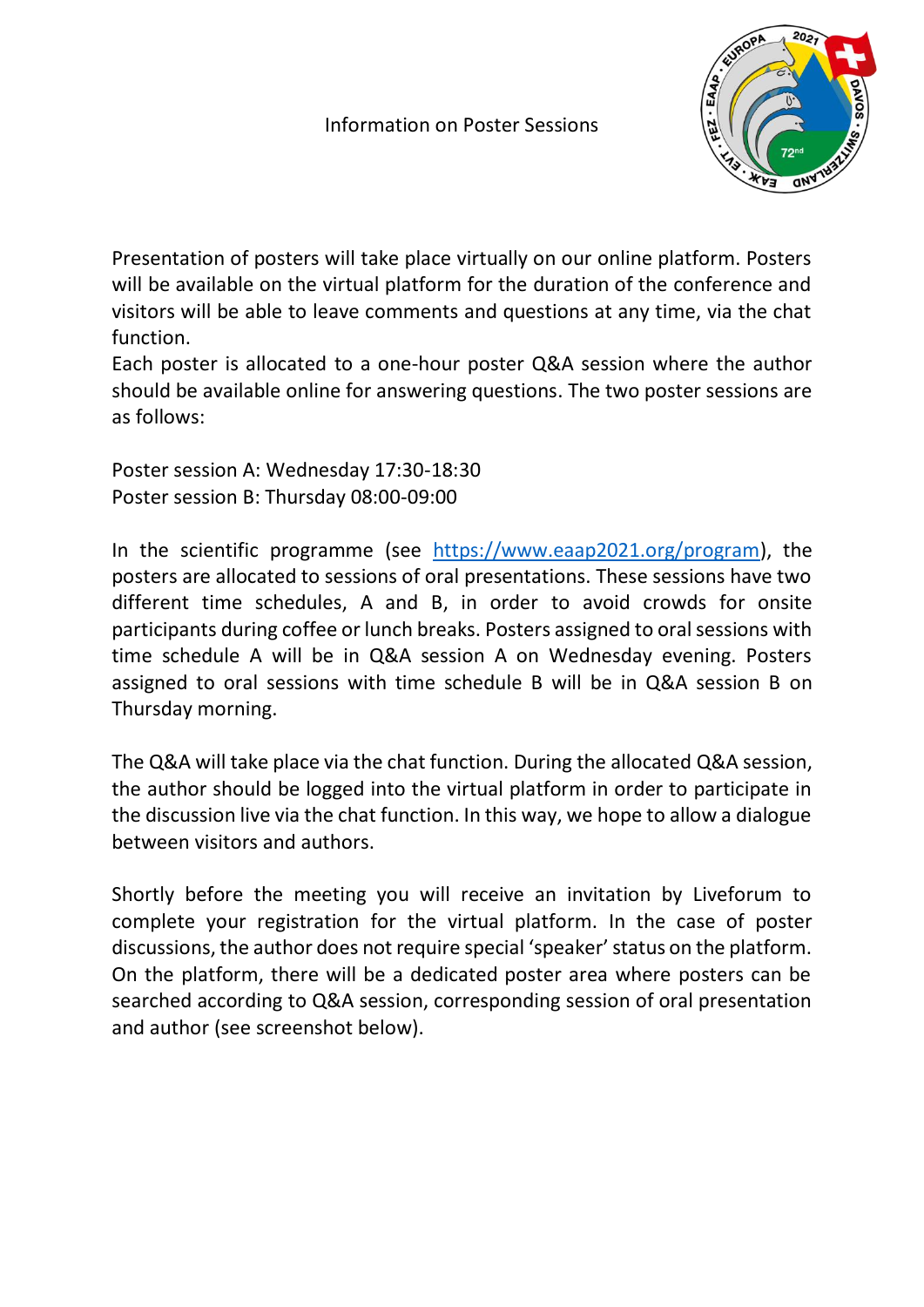

Presentation of posters will take place virtually on our online platform. Posters will be available on the virtual platform for the duration of the conference and visitors will be able to leave comments and questions at any time, via the chat function.

Each poster is allocated to a one-hour poster Q&A session where the author should be available online for answering questions. The two poster sessions are as follows:

Poster session A: Wednesday 17:30-18:30 Poster session B: Thursday 08:00-09:00

In the scientific programme (see [https://www.eaap2021.org/program\)](https://www.eaap2021.org/program), the posters are allocated to sessions of oral presentations. These sessions have two different time schedules, A and B, in order to avoid crowds for onsite participants during coffee or lunch breaks. Posters assigned to oral sessions with time schedule A will be in Q&A session A on Wednesday evening. Posters assigned to oral sessions with time schedule B will be in Q&A session B on Thursday morning.

The Q&A will take place via the chat function. During the allocated Q&A session, the author should be logged into the virtual platform in order to participate in the discussion live via the chat function. In this way, we hope to allow a dialogue between visitors and authors.

Shortly before the meeting you will receive an invitation by Liveforum to complete your registration for the virtual platform. In the case of poster discussions, the author does not require special 'speaker' status on the platform. On the platform, there will be a dedicated poster area where posters can be searched according to Q&A session, corresponding session of oral presentation and author (see screenshot below).